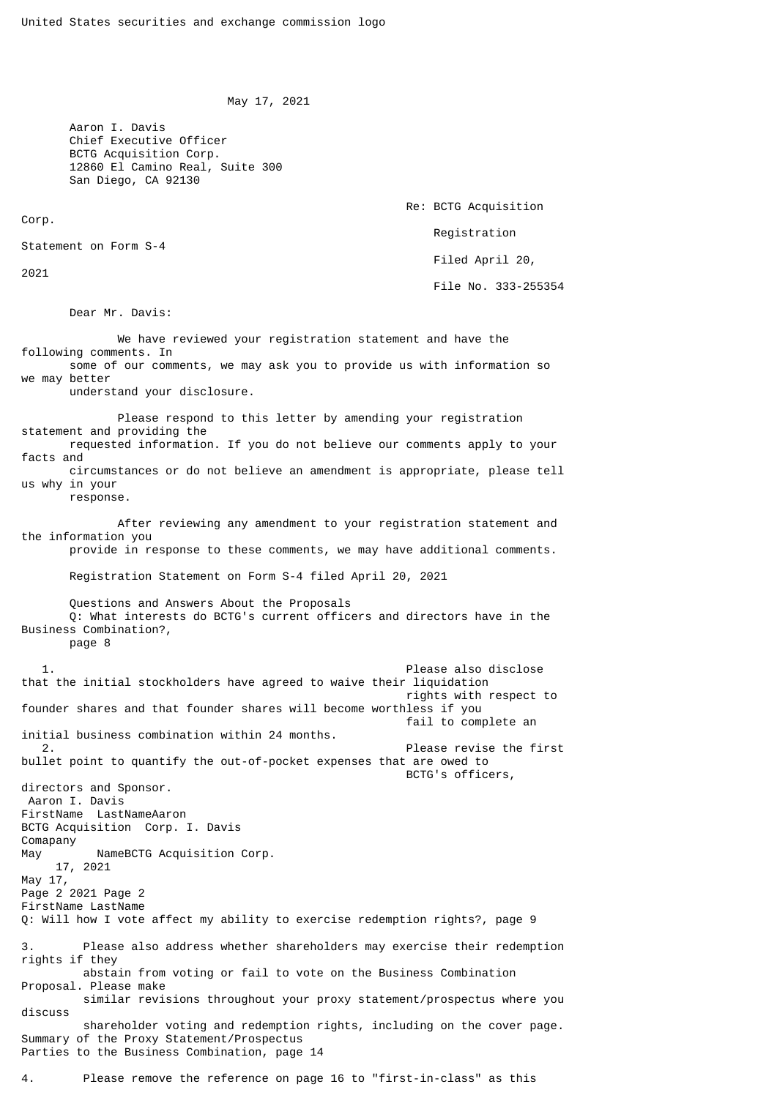```
 May 17, 2021
```
 Aaron I. Davis Chief Executive Officer BCTG Acquisition Corp. 12860 El Camino Real, Suite 300 San Diego, CA 92130

Corp.

2021

Re: BCTG Acquisition

Registration

Filed April 20,

File No. 333-255354

Dear Mr. Davis:

Statement on Form S-4

 We have reviewed your registration statement and have the following comments. In some of our comments, we may ask you to provide us with information so we may better understand your disclosure. Please respond to this letter by amending your registration statement and providing the requested information. If you do not believe our comments apply to your facts and circumstances or do not believe an amendment is appropriate, please tell us why in your response. After reviewing any amendment to your registration statement and the information you provide in response to these comments, we may have additional comments. Registration Statement on Form S-4 filed April 20, 2021 Questions and Answers About the Proposals Q: What interests do BCTG's current officers and directors have in the Business Combination?, page 8 1. Please also disclose that the initial stockholders have agreed to waive their liquidation rights with respect to founder shares and that founder shares will become worthless if you fail to complete an initial business combination within 24 months. 2. Please revise the first bullet point to quantify the out-of-pocket expenses that are owed to BCTG's officers, directors and Sponsor. Aaron I. Davis FirstName LastNameAaron BCTG Acquisition Corp. I. Davis Comapany May NameBCTG Acquisition Corp. 17, 2021 May 17, Page 2 2021 Page 2 FirstName LastName Q: Will how I vote affect my ability to exercise redemption rights?, page 9 3. Please also address whether shareholders may exercise their redemption rights if they abstain from voting or fail to vote on the Business Combination Proposal. Please make similar revisions throughout your proxy statement/prospectus where you discuss shareholder voting and redemption rights, including on the cover page. Summary of the Proxy Statement/Prospectus Parties to the Business Combination, page 14

4. Please remove the reference on page 16 to "first-in-class" as this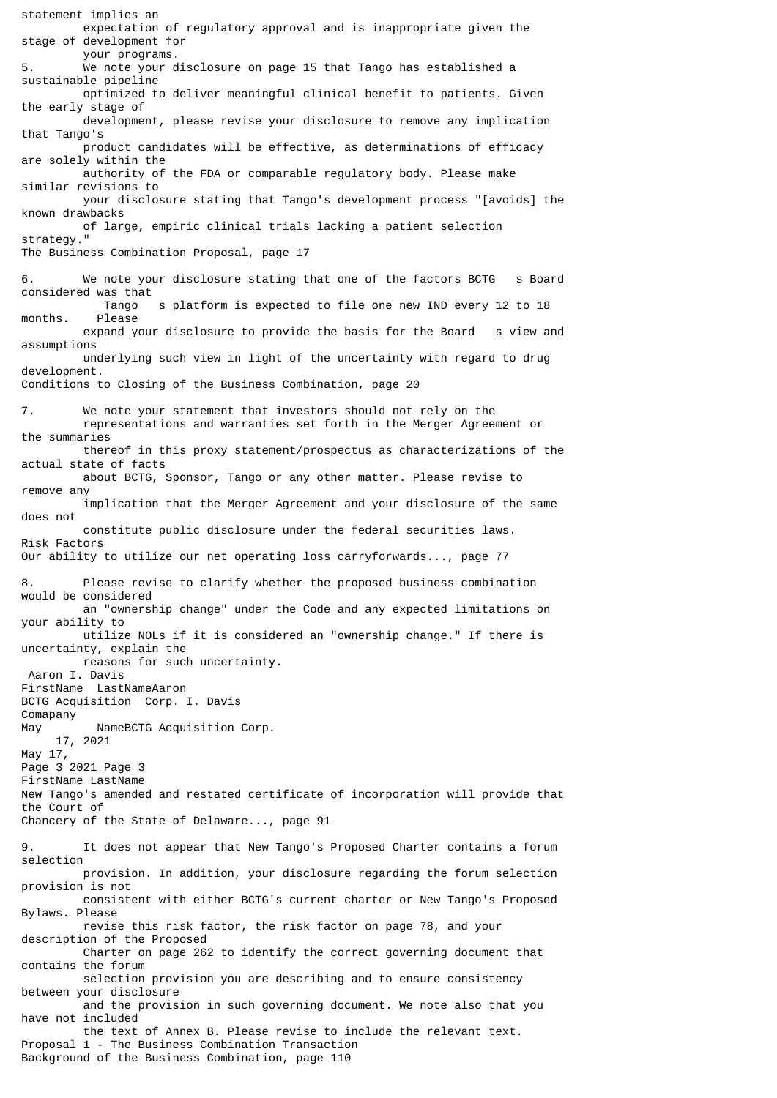statement implies an expectation of regulatory approval and is inappropriate given the stage of development for your programs. 5. We note your disclosure on page 15 that Tango has established a sustainable pipeline optimized to deliver meaningful clinical benefit to patients. Given the early stage of development, please revise your disclosure to remove any implication that Tango's product candidates will be effective, as determinations of efficacy are solely within the authority of the FDA or comparable regulatory body. Please make similar revisions to your disclosure stating that Tango's development process "[avoids] the known drawbacks of large, empiric clinical trials lacking a patient selection strategy." The Business Combination Proposal, page 17 6. We note your disclosure stating that one of the factors BCTG s Board considered was that Tango s platform is expected to file one new IND every 12 to 18 months. Please expand your disclosure to provide the basis for the Board s view and assumptions underlying such view in light of the uncertainty with regard to drug development. Conditions to Closing of the Business Combination, page 20 7. We note your statement that investors should not rely on the representations and warranties set forth in the Merger Agreement or the summaries thereof in this proxy statement/prospectus as characterizations of the actual state of facts about BCTG, Sponsor, Tango or any other matter. Please revise to remove any implication that the Merger Agreement and your disclosure of the same does not constitute public disclosure under the federal securities laws. Risk Factors Our ability to utilize our net operating loss carryforwards..., page 77 8. Please revise to clarify whether the proposed business combination would be considered an "ownership change" under the Code and any expected limitations on your ability to utilize NOLs if it is considered an "ownership change." If there is uncertainty, explain the reasons for such uncertainty. Aaron I. Davis FirstName LastNameAaron BCTG Acquisition Corp. I. Davis Comapany May NameBCTG Acquisition Corp. 17, 2021 May 17, Page 3 2021 Page 3 FirstName LastName New Tango's amended and restated certificate of incorporation will provide that the Court of Chancery of the State of Delaware..., page 91 9. It does not appear that New Tango's Proposed Charter contains a forum selection provision. In addition, your disclosure regarding the forum selection provision is not consistent with either BCTG's current charter or New Tango's Proposed Bylaws. Please revise this risk factor, the risk factor on page 78, and your description of the Proposed Charter on page 262 to identify the correct governing document that contains the forum selection provision you are describing and to ensure consistency between your disclosure and the provision in such governing document. We note also that you have not included the text of Annex B. Please revise to include the relevant text. Proposal 1 - The Business Combination Transaction Background of the Business Combination, page 110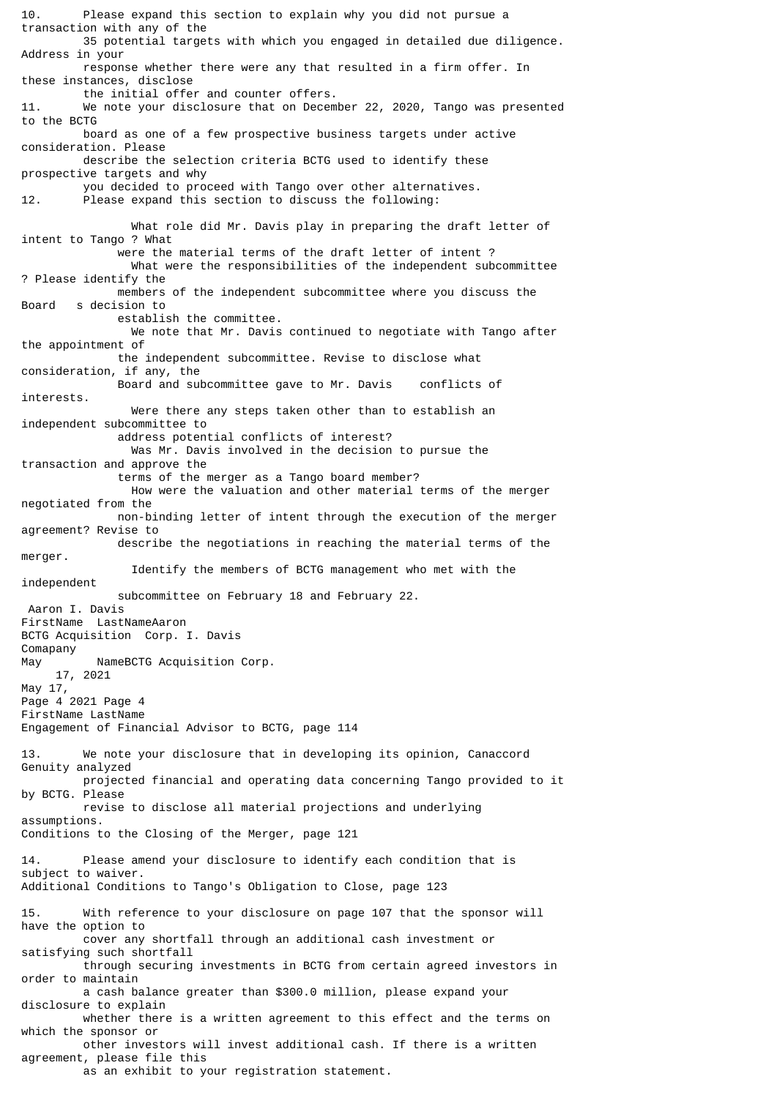10. Please expand this section to explain why you did not pursue a transaction with any of the 35 potential targets with which you engaged in detailed due diligence. Address in your response whether there were any that resulted in a firm offer. In these instances, disclose the initial offer and counter offers. 11. We note your disclosure that on December 22, 2020, Tango was presented to the BCTG board as one of a few prospective business targets under active consideration. Please describe the selection criteria BCTG used to identify these prospective targets and why you decided to proceed with Tango over other alternatives. 12. Please expand this section to discuss the following: What role did Mr. Davis play in preparing the draft letter of intent to Tango ? What were the material terms of the draft letter of intent ? What were the responsibilities of the independent subcommittee ? Please identify the members of the independent subcommittee where you discuss the<br>Roard s decision to s decision to establish the committee. We note that Mr. Davis continued to negotiate with Tango after the appointment of the independent subcommittee. Revise to disclose what consideration, if any, the Board and subcommittee gave to Mr. Davis conflicts of interests. Were there any steps taken other than to establish an independent subcommittee to address potential conflicts of interest? Was Mr. Davis involved in the decision to pursue the transaction and approve the terms of the merger as a Tango board member? How were the valuation and other material terms of the merger negotiated from the non-binding letter of intent through the execution of the merger agreement? Revise to describe the negotiations in reaching the material terms of the merger. Identify the members of BCTG management who met with the independent subcommittee on February 18 and February 22. Aaron I. Davis FirstName LastNameAaron BCTG Acquisition Corp. I. Davis **Comapany** May NameBCTG Acquisition Corp. 17, 2021 May 17, Page 4 2021 Page 4 FirstName LastName Engagement of Financial Advisor to BCTG, page 114 13. We note your disclosure that in developing its opinion, Canaccord Genuity analyzed projected financial and operating data concerning Tango provided to it by BCTG. Please revise to disclose all material projections and underlying assumptions. Conditions to the Closing of the Merger, page 121 14. Please amend your disclosure to identify each condition that is subject to waiver. Additional Conditions to Tango's Obligation to Close, page 123 15. With reference to your disclosure on page 107 that the sponsor will have the option to cover any shortfall through an additional cash investment or satisfying such shortfall through securing investments in BCTG from certain agreed investors in order to maintain a cash balance greater than \$300.0 million, please expand your disclosure to explain whether there is a written agreement to this effect and the terms on which the sponsor or other investors will invest additional cash. If there is a written agreement, please file this as an exhibit to your registration statement.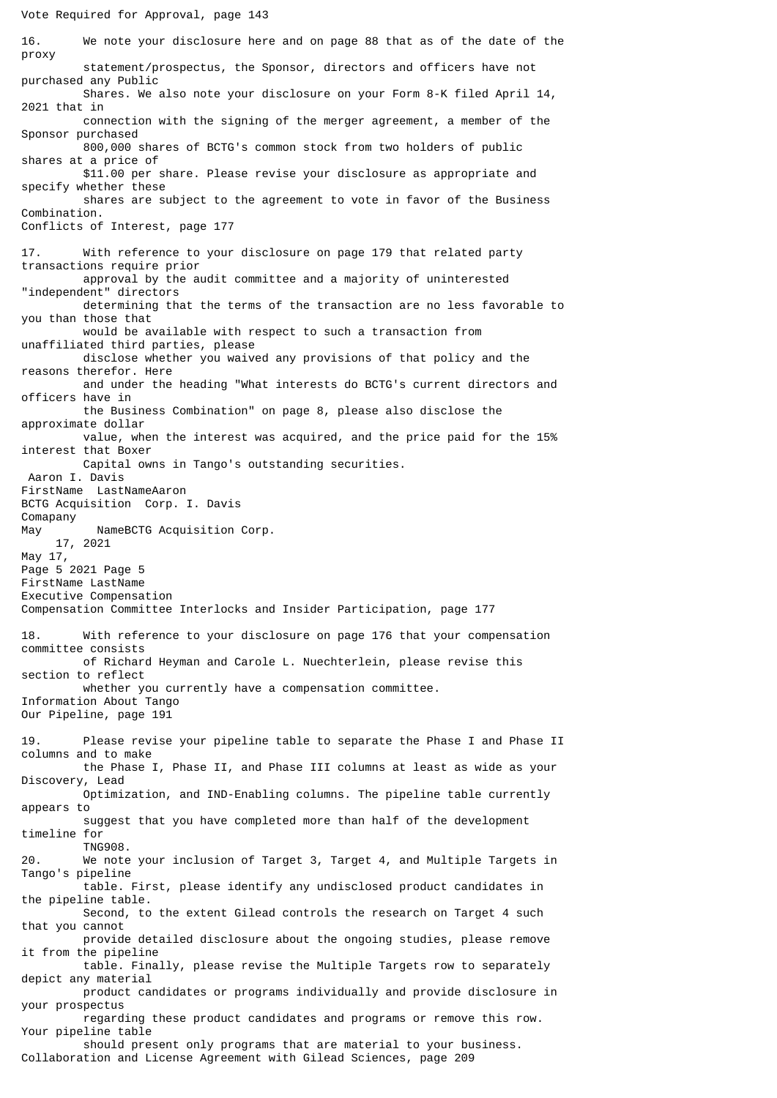16. We note your disclosure here and on page 88 that as of the date of the proxy statement/prospectus, the Sponsor, directors and officers have not purchased any Public Shares. We also note your disclosure on your Form 8-K filed April 14, 2021 that in connection with the signing of the merger agreement, a member of the Sponsor purchased 800,000 shares of BCTG's common stock from two holders of public shares at a price of \$11.00 per share. Please revise your disclosure as appropriate and specify whether these shares are subject to the agreement to vote in favor of the Business Combination. Conflicts of Interest, page 177 17. With reference to your disclosure on page 179 that related party transactions require prior approval by the audit committee and a majority of uninterested "independent" directors determining that the terms of the transaction are no less favorable to you than those that would be available with respect to such a transaction from unaffiliated third parties, please disclose whether you waived any provisions of that policy and the reasons therefor. Here and under the heading "What interests do BCTG's current directors and officers have in the Business Combination" on page 8, please also disclose the approximate dollar value, when the interest was acquired, and the price paid for the 15% interest that Boxer Capital owns in Tango's outstanding securities. Aaron I. Davis FirstName LastNameAaron BCTG Acquisition Corp. I. Davis Comapany May NameBCTG Acquisition Corp. 17, 2021 May 17, Page 5 2021 Page 5 FirstName LastName Executive Compensation Compensation Committee Interlocks and Insider Participation, page 177 18. With reference to your disclosure on page 176 that your compensation committee consists of Richard Heyman and Carole L. Nuechterlein, please revise this section to reflect whether you currently have a compensation committee. Information About Tango Our Pipeline, page 191 19. Please revise your pipeline table to separate the Phase I and Phase II columns and to make the Phase I, Phase II, and Phase III columns at least as wide as your Discovery, Lead Optimization, and IND-Enabling columns. The pipeline table currently appears to suggest that you have completed more than half of the development timeline for TNG908. 20. We note your inclusion of Target 3, Target 4, and Multiple Targets in Tango's pipeline table. First, please identify any undisclosed product candidates in the pipeline table. Second, to the extent Gilead controls the research on Target 4 such that you cannot provide detailed disclosure about the ongoing studies, please remove it from the pipeline table. Finally, please revise the Multiple Targets row to separately depict any material product candidates or programs individually and provide disclosure in your prospectus regarding these product candidates and programs or remove this row. Your pipeline table should present only programs that are material to your business. Collaboration and License Agreement with Gilead Sciences, page 209